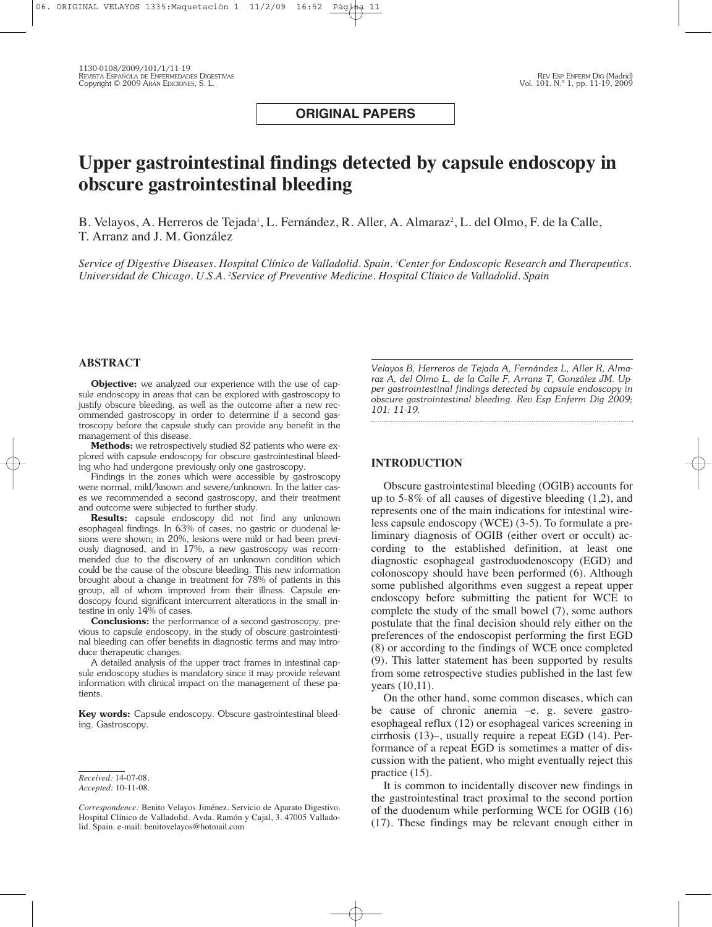## **ORIGINAL PAPERS**

# **Upper gastrointestinal findings detected by capsule endoscopy in obscure gastrointestinal bleeding**

B. Velayos, A. Herreros de Tejada', L. Fernández, R. Aller, A. Almaraz², L. del Olmo, F. de la Calle, T. Arranz and J. M. González

Service of Digestive Diseases. Hospital Clínico de Valladolid. Spain. 'Center for Endoscopic Research and Therapeutics. *Universidad de Chicago. U.S.A. <sup>2</sup> Service of Preventive Medicine. Hospital Clínico de Valladolid. Spain*

#### **ABSTRACT**

**Objective:** we analyzed our experience with the use of capsule endoscopy in areas that can be explored with gastroscopy to justify obscure bleeding, as well as the outcome after a new recommended gastroscopy in order to determine if a second gastroscopy before the capsule study can provide any benefit in the management of this disease.

**Methods:** we retrospectively studied 82 patients who were explored with capsule endoscopy for obscure gastrointestinal bleeding who had undergone previously only one gastroscopy.

Findings in the zones which were accessible by gastroscopy were normal, mild/known and severe/unknown. In the latter cases we recommended a second gastroscopy, and their treatment and outcome were subjected to further study.

**Results:** capsule endoscopy did not find any unknown esophageal findings. In 63% of cases, no gastric or duodenal lesions were shown; in 20%, lesions were mild or had been previously diagnosed, and in 17%, a new gastroscopy was recommended due to the discovery of an unknown condition which could be the cause of the obscure bleeding. This new information brought about a change in treatment for 78% of patients in this group, all of whom improved from their illness. Capsule endoscopy found significant intercurrent alterations in the small intestine in only 14% of cases.

**Conclusions:** the performance of a second gastroscopy, previous to capsule endoscopy, in the study of obscure gastrointestinal bleeding can offer benefits in diagnostic terms and may introduce therapeutic changes.

A detailed analysis of the upper tract frames in intestinal capsule endoscopy studies is mandatory since it may provide relevant information with clinical impact on the management of these patients.

**Key words:** Capsule endoscopy. Obscure gastrointestinal bleeding. Gastroscopy.

*Velayos B, Herreros de Tejada A, Fernández L, Aller R, Almaraz A, del Olmo L, de la Calle F, Arranz T, González JM. Upper gastrointestinal findings detected by capsule endoscopy in obscure gastrointestinal bleeding. Rev Esp Enferm Dig 2009; 101: 11-19.*

#### **INTRODUCTION**

Obscure gastrointestinal bleeding (OGIB) accounts for up to 5-8% of all causes of digestive bleeding (1,2), and represents one of the main indications for intestinal wireless capsule endoscopy (WCE) (3-5). To formulate a preliminary diagnosis of OGIB (either overt or occult) according to the established definition, at least one diagnostic esophageal gastroduodenoscopy (EGD) and colonoscopy should have been performed (6). Although some published algorithms even suggest a repeat upper endoscopy before submitting the patient for WCE to complete the study of the small bowel (7), some authors postulate that the final decision should rely either on the preferences of the endoscopist performing the first EGD (8) or according to the findings of WCE once completed (9). This latter statement has been supported by results from some retrospective studies published in the last few years (10,11).

On the other hand, some common diseases, which can be cause of chronic anemia –e. g. severe gastroesophageal reflux (12) or esophageal varices screening in cirrhosis (13)–, usually require a repeat EGD (14). Performance of a repeat EGD is sometimes a matter of discussion with the patient, who might eventually reject this practice (15).

It is common to incidentally discover new findings in the gastrointestinal tract proximal to the second portion of the duodenum while performing WCE for OGIB (16) (17). These findings may be relevant enough either in

*Received:* 14-07-08.

*Accepted:* 10-11-08.

*Correspondence:* Benito Velayos Jiménez. Servicio de Aparato Digestivo. Hospital Clínico de Valladolid. Avda. Ramón y Cajal, 3. 47005 Valladolid. Spain. e-mail: benitovelayos@hotmail.com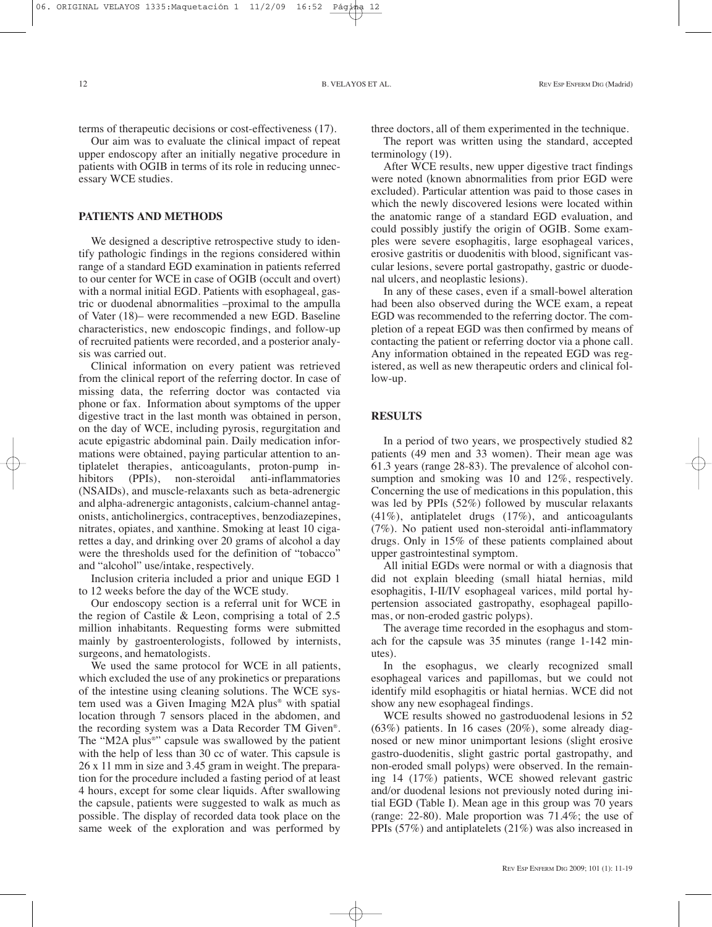terms of therapeutic decisions or cost-effectiveness (17).

Our aim was to evaluate the clinical impact of repeat upper endoscopy after an initially negative procedure in patients with OGIB in terms of its role in reducing unnecessary WCE studies.

#### **PATIENTS AND METHODS**

We designed a descriptive retrospective study to identify pathologic findings in the regions considered within range of a standard EGD examination in patients referred to our center for WCE in case of OGIB (occult and overt) with a normal initial EGD. Patients with esophageal, gastric or duodenal abnormalities –proximal to the ampulla of Vater (18)– were recommended a new EGD. Baseline characteristics, new endoscopic findings, and follow-up of recruited patients were recorded, and a posterior analysis was carried out.

Clinical information on every patient was retrieved from the clinical report of the referring doctor. In case of missing data, the referring doctor was contacted via phone or fax. Information about symptoms of the upper digestive tract in the last month was obtained in person, on the day of WCE, including pyrosis, regurgitation and acute epigastric abdominal pain. Daily medication informations were obtained, paying particular attention to antiplatelet therapies, anticoagulants, proton-pump inhibitors (PPIs), non-steroidal anti-inflammatories (NSAIDs), and muscle-relaxants such as beta-adrenergic and alpha-adrenergic antagonists, calcium-channel antagonists, anticholinergics, contraceptives, benzodiazepines, nitrates, opiates, and xanthine. Smoking at least 10 cigarettes a day, and drinking over 20 grams of alcohol a day were the thresholds used for the definition of "tobacco" and "alcohol" use/intake, respectively.

Inclusion criteria included a prior and unique EGD 1 to 12 weeks before the day of the WCE study.

Our endoscopy section is a referral unit for WCE in the region of Castile & Leon, comprising a total of 2.5 million inhabitants. Requesting forms were submitted mainly by gastroenterologists, followed by internists, surgeons, and hematologists.

We used the same protocol for WCE in all patients, which excluded the use of any prokinetics or preparations of the intestine using cleaning solutions. The WCE system used was a Given Imaging M2A plus® with spatial location through 7 sensors placed in the abdomen, and the recording system was a Data Recorder TM Given®. The "M2A plus®" capsule was swallowed by the patient with the help of less than 30 cc of water. This capsule is 26 x 11 mm in size and 3.45 gram in weight. The preparation for the procedure included a fasting period of at least 4 hours, except for some clear liquids. After swallowing the capsule, patients were suggested to walk as much as possible. The display of recorded data took place on the same week of the exploration and was performed by

three doctors, all of them experimented in the technique.

The report was written using the standard, accepted terminology (19).

After WCE results, new upper digestive tract findings were noted (known abnormalities from prior EGD were excluded). Particular attention was paid to those cases in which the newly discovered lesions were located within the anatomic range of a standard EGD evaluation, and could possibly justify the origin of OGIB. Some examples were severe esophagitis, large esophageal varices, erosive gastritis or duodenitis with blood, significant vascular lesions, severe portal gastropathy, gastric or duodenal ulcers, and neoplastic lesions).

In any of these cases, even if a small-bowel alteration had been also observed during the WCE exam, a repeat EGD was recommended to the referring doctor. The completion of a repeat EGD was then confirmed by means of contacting the patient or referring doctor via a phone call. Any information obtained in the repeated EGD was registered, as well as new therapeutic orders and clinical follow-up.

#### **RESULTS**

In a period of two years, we prospectively studied 82 patients (49 men and 33 women). Their mean age was 61.3 years (range 28-83). The prevalence of alcohol consumption and smoking was 10 and 12%, respectively. Concerning the use of medications in this population, this was led by PPIs (52%) followed by muscular relaxants (41%), antiplatelet drugs (17%), and anticoagulants (7%). No patient used non-steroidal anti-inflammatory drugs. Only in 15% of these patients complained about upper gastrointestinal symptom.

All initial EGDs were normal or with a diagnosis that did not explain bleeding (small hiatal hernias, mild esophagitis, I-II/IV esophageal varices, mild portal hypertension associated gastropathy, esophageal papillomas, or non-eroded gastric polyps).

The average time recorded in the esophagus and stomach for the capsule was 35 minutes (range 1-142 minutes).

In the esophagus, we clearly recognized small esophageal varices and papillomas, but we could not identify mild esophagitis or hiatal hernias. WCE did not show any new esophageal findings.

WCE results showed no gastroduodenal lesions in 52 (63%) patients. In 16 cases (20%), some already diagnosed or new minor unimportant lesions (slight erosive gastro-duodenitis, slight gastric portal gastropathy, and non-eroded small polyps) were observed. In the remaining 14 (17%) patients, WCE showed relevant gastric and/or duodenal lesions not previously noted during initial EGD (Table I). Mean age in this group was 70 years (range: 22-80). Male proportion was 71.4%; the use of PPIs (57%) and antiplatelets (21%) was also increased in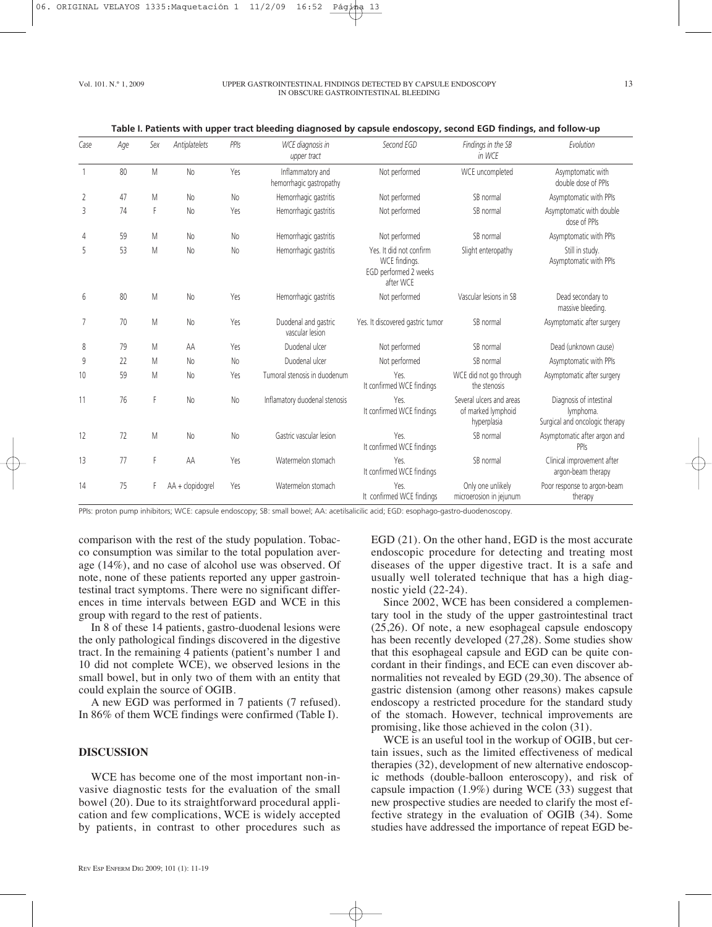#### Vol. 101. N.º 1, 2009 UPPER GASTROINTESTINAL FINDINGS DETECTED BY CAPSULE ENDOSCOPY IN OBSCURE GASTROINTESTINAL BLEEDING

|      |     |     |                  |                | add biccuiry diagnosca by capsuic chaoscopy, second EGD imaings, and follow ap |                                                                                |                                                               |                                                                        |
|------|-----|-----|------------------|----------------|--------------------------------------------------------------------------------|--------------------------------------------------------------------------------|---------------------------------------------------------------|------------------------------------------------------------------------|
| Case | Age | Sex | Antiplatelets    | PPIs           | WCE diagnosis in<br>upper tract                                                | Second EGD                                                                     | Findings in the SB<br>in WCE                                  | Evolution                                                              |
|      | 80  | M   | No               | Yes            | Inflammatory and<br>hemorrhagic gastropathy                                    | Not performed                                                                  | WCE uncompleted                                               | Asymptomatic with<br>double dose of PPIs                               |
| 2    | 47  | M   | N <sub>o</sub>   | <b>No</b>      | Hemorrhagic gastritis                                                          | Not performed                                                                  | SB normal                                                     | Asymptomatic with PPIs                                                 |
| 3    | 74  | F   | N <sub>o</sub>   | Yes            | Hemorrhagic gastritis                                                          | Not performed                                                                  | SB normal                                                     | Asymptomatic with double<br>dose of PPIs                               |
| 4    | 59  | M   | N <sub>o</sub>   | No             | Hemorrhagic gastritis                                                          | Not performed                                                                  | SB normal                                                     | Asymptomatic with PPIs                                                 |
| 5    | 53  | M   | N <sub>o</sub>   | N <sub>o</sub> | Hemorrhagic gastritis                                                          | Yes. It did not confirm<br>WCE findings.<br>EGD performed 2 weeks<br>after WCE | Slight enteropathy                                            | Still in study.<br>Asymptomatic with PPIs                              |
| 6    | 80  | M   | No               | Yes            | Hemorrhagic gastritis                                                          | Not performed                                                                  | Vascular lesions in SB                                        | Dead secondary to<br>massive bleeding.                                 |
| 7    | 70  | M   | N <sub>o</sub>   | Yes            | Duodenal and gastric<br>vascular lesion                                        | Yes. It discovered gastric tumor                                               | SB normal                                                     | Asymptomatic after surgery                                             |
| 8    | 79  | M   | AA               | Yes            | Duodenal ulcer                                                                 | Not performed                                                                  | SB normal                                                     | Dead (unknown cause)                                                   |
| 9    | 22  | M   | No               | No             | Duodenal ulcer                                                                 | Not performed                                                                  | SB normal                                                     | Asymptomatic with PPIs                                                 |
| 10   | 59  | M   | No               | Yes            | Tumoral stenosis in duodenum                                                   | Yes.<br>It confirmed WCE findings                                              | WCE did not go through<br>the stenosis                        | Asymptomatic after surgery                                             |
| 11   | 76  | F   | No               | No             | Inflamatory duodenal stenosis                                                  | Yes.<br>It confirmed WCE findings                                              | Several ulcers and areas<br>of marked lymphoid<br>hyperplasia | Diagnosis of intestinal<br>lymphoma.<br>Surgical and oncologic therapy |
| 12   | 72  | M   | No               | No             | Gastric vascular lesion                                                        | Yes.<br>It confirmed WCE findings                                              | SB normal                                                     | Asymptomatic after argon and<br>PPIs                                   |
| 13   | 77  | F   | AA               | Yes            | Watermelon stomach                                                             | Yes.<br>It confirmed WCE findings                                              | SB normal                                                     | Clinical improvement after<br>argon-beam therapy                       |
| 14   | 75  |     | AA + clopidogrel | Yes            | Watermelon stomach                                                             | Yes.<br>It confirmed WCE findings                                              | Only one unlikely<br>microerosion in jejunum                  | Poor response to argon-beam<br>therapy                                 |

| Table I. Patients with upper tract bleeding diagnosed by capsule endoscopy, second EGD findings, and follow-up |
|----------------------------------------------------------------------------------------------------------------|
|----------------------------------------------------------------------------------------------------------------|

PPIs: proton pump inhibitors; WCE: capsule endoscopy; SB: small bowel; AA: acetilsalicilic acid; EGD: esophago-gastro-duodenoscopy.

comparison with the rest of the study population. Tobacco consumption was similar to the total population average (14%), and no case of alcohol use was observed. Of note, none of these patients reported any upper gastrointestinal tract symptoms. There were no significant differences in time intervals between EGD and WCE in this group with regard to the rest of patients.

In 8 of these 14 patients, gastro-duodenal lesions were the only pathological findings discovered in the digestive tract. In the remaining 4 patients (patient's number 1 and 10 did not complete WCE), we observed lesions in the small bowel, but in only two of them with an entity that could explain the source of OGIB.

A new EGD was performed in 7 patients (7 refused). In 86% of them WCE findings were confirmed (Table I).

#### **DISCUSSION**

WCE has become one of the most important non-invasive diagnostic tests for the evaluation of the small bowel (20). Due to its straightforward procedural application and few complications, WCE is widely accepted by patients, in contrast to other procedures such as

REV ESP ENFERM DIG 2009; 101 (1): 11-19

EGD (21). On the other hand, EGD is the most accurate endoscopic procedure for detecting and treating most diseases of the upper digestive tract. It is a safe and usually well tolerated technique that has a high diagnostic yield (22-24).

Since 2002, WCE has been considered a complementary tool in the study of the upper gastrointestinal tract (25,26). Of note, a new esophageal capsule endoscopy has been recently developed (27,28). Some studies show that this esophageal capsule and EGD can be quite concordant in their findings, and ECE can even discover abnormalities not revealed by EGD (29,30). The absence of gastric distension (among other reasons) makes capsule endoscopy a restricted procedure for the standard study of the stomach. However, technical improvements are promising, like those achieved in the colon (31).

WCE is an useful tool in the workup of OGIB, but certain issues, such as the limited effectiveness of medical therapies (32), development of new alternative endoscopic methods (double-balloon enteroscopy), and risk of capsule impaction (1.9%) during WCE (33) suggest that new prospective studies are needed to clarify the most effective strategy in the evaluation of OGIB (34). Some studies have addressed the importance of repeat EGD be-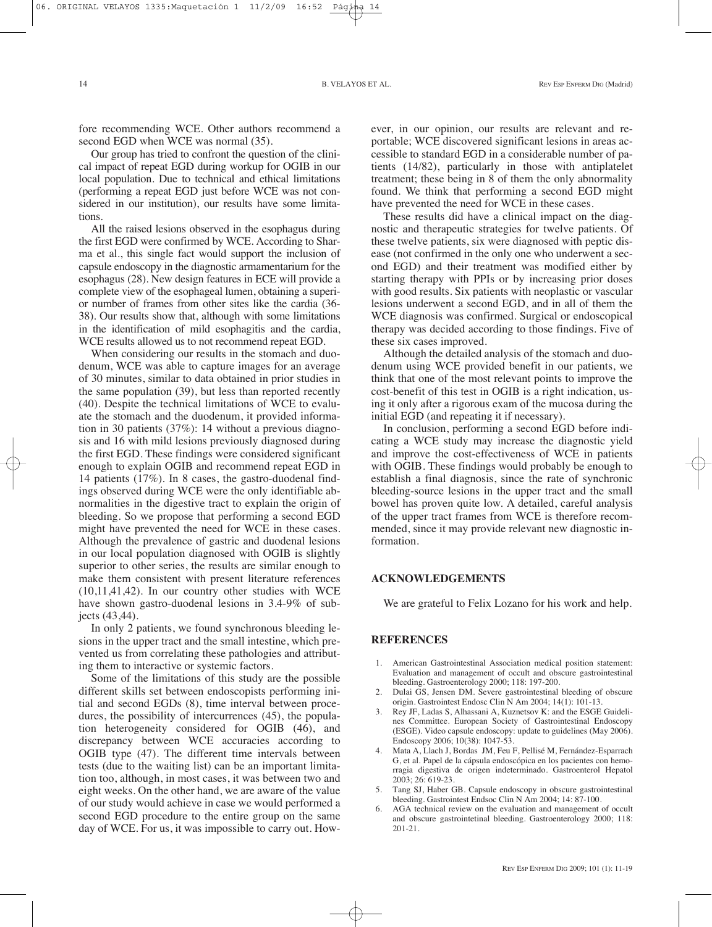fore recommending WCE. Other authors recommend a second EGD when WCE was normal (35).

Our group has tried to confront the question of the clinical impact of repeat EGD during workup for OGIB in our local population. Due to technical and ethical limitations (performing a repeat EGD just before WCE was not considered in our institution), our results have some limitations.

All the raised lesions observed in the esophagus during the first EGD were confirmed by WCE. According to Sharma et al., this single fact would support the inclusion of capsule endoscopy in the diagnostic armamentarium for the esophagus (28). New design features in ECE will provide a complete view of the esophageal lumen, obtaining a superior number of frames from other sites like the cardia (36- 38). Our results show that, although with some limitations in the identification of mild esophagitis and the cardia, WCE results allowed us to not recommend repeat EGD.

When considering our results in the stomach and duodenum, WCE was able to capture images for an average of 30 minutes, similar to data obtained in prior studies in the same population (39), but less than reported recently (40). Despite the technical limitations of WCE to evaluate the stomach and the duodenum, it provided information in 30 patients (37%): 14 without a previous diagnosis and 16 with mild lesions previously diagnosed during the first EGD. These findings were considered significant enough to explain OGIB and recommend repeat EGD in 14 patients (17%). In 8 cases, the gastro-duodenal findings observed during WCE were the only identifiable abnormalities in the digestive tract to explain the origin of bleeding. So we propose that performing a second EGD might have prevented the need for WCE in these cases. Although the prevalence of gastric and duodenal lesions in our local population diagnosed with OGIB is slightly superior to other series, the results are similar enough to make them consistent with present literature references (10,11,41,42). In our country other studies with WCE have shown gastro-duodenal lesions in 3.4-9% of subjects (43,44).

In only 2 patients, we found synchronous bleeding lesions in the upper tract and the small intestine, which prevented us from correlating these pathologies and attributing them to interactive or systemic factors.

Some of the limitations of this study are the possible different skills set between endoscopists performing initial and second EGDs (8), time interval between procedures, the possibility of intercurrences (45), the population heterogeneity considered for OGIB (46), and discrepancy between WCE accuracies according to OGIB type (47). The different time intervals between tests (due to the waiting list) can be an important limitation too, although, in most cases, it was between two and eight weeks. On the other hand, we are aware of the value of our study would achieve in case we would performed a second EGD procedure to the entire group on the same day of WCE. For us, it was impossible to carry out. However, in our opinion, our results are relevant and reportable; WCE discovered significant lesions in areas accessible to standard EGD in a considerable number of patients (14/82), particularly in those with antiplatelet treatment; these being in 8 of them the only abnormality found. We think that performing a second EGD might have prevented the need for WCE in these cases.

These results did have a clinical impact on the diagnostic and therapeutic strategies for twelve patients. Of these twelve patients, six were diagnosed with peptic disease (not confirmed in the only one who underwent a second EGD) and their treatment was modified either by starting therapy with PPIs or by increasing prior doses with good results. Six patients with neoplastic or vascular lesions underwent a second EGD, and in all of them the WCE diagnosis was confirmed. Surgical or endoscopical therapy was decided according to those findings. Five of these six cases improved.

Although the detailed analysis of the stomach and duodenum using WCE provided benefit in our patients, we think that one of the most relevant points to improve the cost-benefit of this test in OGIB is a right indication, using it only after a rigorous exam of the mucosa during the initial EGD (and repeating it if necessary).

In conclusion, performing a second EGD before indicating a WCE study may increase the diagnostic yield and improve the cost-effectiveness of WCE in patients with OGIB. These findings would probably be enough to establish a final diagnosis, since the rate of synchronic bleeding-source lesions in the upper tract and the small bowel has proven quite low. A detailed, careful analysis of the upper tract frames from WCE is therefore recommended, since it may provide relevant new diagnostic information.

### **ACKNOWLEDGEMENTS**

We are grateful to Felix Lozano for his work and help.

#### **REFERENCES**

- 1. American Gastrointestinal Association medical position statement: Evaluation and management of occult and obscure gastrointestinal bleeding. Gastroenterology 2000; 118: 197-200.
- 2. Dulai GS, Jensen DM. Severe gastrointestinal bleeding of obscure origin. Gastrointest Endosc Clin N Am 2004; 14(1): 101-13.
- 3. Rey JF, Ladas S, Alhassani A, Kuznetsov K: and the ESGE Guidelines Committee. European Society of Gastrointestinal Endoscopy (ESGE). Video capsule endoscopy: update to guidelines (May 2006). Endoscopy 2006; 10(38): 1047-53.
- 4. Mata A, Llach J, Bordas JM, Feu F, Pellisé M, Fernández-Esparrach G, et al. Papel de la cápsula endoscópica en los pacientes con hemorragia digestiva de origen indeterminado. Gastroenterol Hepatol 2003; 26: 619-23.
- 5. Tang SJ, Haber GB. Capsule endoscopy in obscure gastrointestinal bleeding. Gastrointest Endsoc Clin N Am 2004; 14: 87-100.
- 6. AGA technical review on the evaluation and management of occult and obscure gastrointetinal bleeding. Gastroenterology 2000; 118: 201-21.